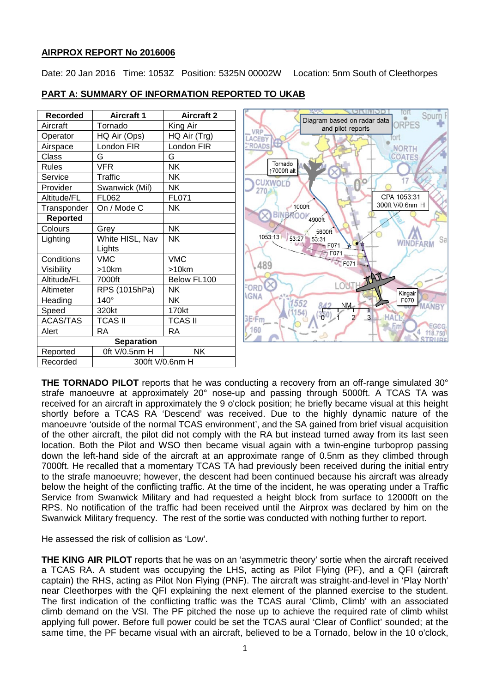### **AIRPROX REPORT No 2016006**

Date: 20 Jan 2016 Time: 1053Z Position: 5325N 00002W Location: 5nm South of Cleethorpes

| <b>PART A: SUMMARY OF INFORMATION REPORTED TO UKAB</b> |  |
|--------------------------------------------------------|--|
|                                                        |  |

| Recorded          | <b>Aircraft 1</b> | <b>Aircraft 2</b> |  |  |
|-------------------|-------------------|-------------------|--|--|
| Aircraft          | Tornado           | King Air          |  |  |
| Operator          | HQ Air (Ops)      | HQ Air (Trg)      |  |  |
| Airspace          | London FIR        | London FIR        |  |  |
| Class             | G                 | G                 |  |  |
| <b>Rules</b>      | VFR               | NΚ                |  |  |
| Service           | Traffic           | NΚ                |  |  |
| Provider          | Swanwick (Mil)    | NΚ                |  |  |
| Altitude/FL       | FL062             | FL071             |  |  |
| Transponder       | On / Mode C       | <b>NK</b>         |  |  |
| <b>Reported</b>   |                   |                   |  |  |
| Colours           | Grey              | NΚ                |  |  |
| Lighting          | White HISL, Nav   | <b>NK</b>         |  |  |
|                   | Lights            |                   |  |  |
| Conditions        | <b>VMC</b>        | <b>VMC</b>        |  |  |
| Visibility        | $>10$ km          | >10km             |  |  |
| Altitude/FL       | 7000ft            | Below FL100       |  |  |
| Altimeter         | RPS (1015hPa)     | NΚ                |  |  |
| Heading           | $140^\circ$       | NΚ                |  |  |
| Speed             | 320kt             | 170kt             |  |  |
| <b>ACAS/TAS</b>   | <b>TCAS II</b>    | <b>TCAS II</b>    |  |  |
| Alert             | RA                | RA                |  |  |
| <b>Separation</b> |                   |                   |  |  |
| Reported          | 0ft V/0.5nm H     | <b>NK</b>         |  |  |
| Recorded          | 300ft V/0.6nm H   |                   |  |  |



**THE TORNADO PILOT** reports that he was conducting a recovery from an off-range simulated 30° strafe manoeuvre at approximately 20° nose-up and passing through 5000ft. A TCAS TA was received for an aircraft in approximately the 9 o'clock position; he briefly became visual at this height shortly before a TCAS RA 'Descend' was received. Due to the highly dynamic nature of the manoeuvre 'outside of the normal TCAS environment', and the SA gained from brief visual acquisition of the other aircraft, the pilot did not comply with the RA but instead turned away from its last seen location. Both the Pilot and WSO then became visual again with a twin-engine turboprop passing down the left-hand side of the aircraft at an approximate range of 0.5nm as they climbed through 7000ft. He recalled that a momentary TCAS TA had previously been received during the initial entry to the strafe manoeuvre; however, the descent had been continued because his aircraft was already below the height of the conflicting traffic. At the time of the incident, he was operating under a Traffic Service from Swanwick Military and had requested a height block from surface to 12000ft on the RPS. No notification of the traffic had been received until the Airprox was declared by him on the Swanwick Military frequency. The rest of the sortie was conducted with nothing further to report.

He assessed the risk of collision as 'Low'.

**THE KING AIR PILOT** reports that he was on an 'asymmetric theory' sortie when the aircraft received a TCAS RA. A student was occupying the LHS, acting as Pilot Flying (PF), and a QFI (aircraft captain) the RHS, acting as Pilot Non Flying (PNF). The aircraft was straight-and-level in 'Play North' near Cleethorpes with the QFI explaining the next element of the planned exercise to the student. The first indication of the conflicting traffic was the TCAS aural 'Climb, Climb' with an associated climb demand on the VSI. The PF pitched the nose up to achieve the required rate of climb whilst applying full power. Before full power could be set the TCAS aural 'Clear of Conflict' sounded; at the same time, the PF became visual with an aircraft, believed to be a Tornado, below in the 10 o'clock,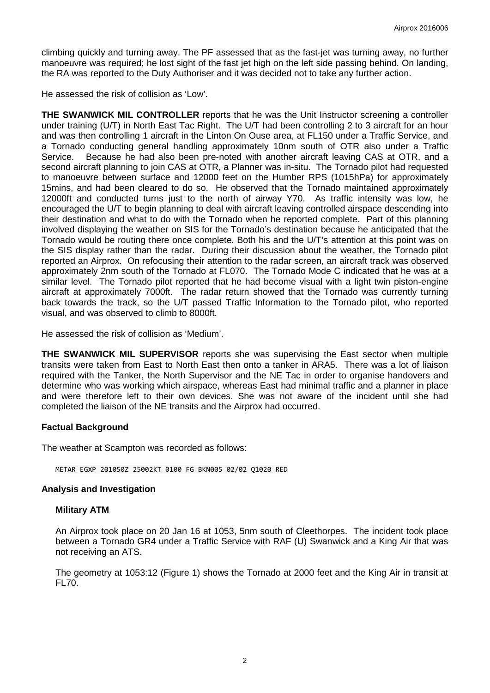climbing quickly and turning away. The PF assessed that as the fast-jet was turning away, no further manoeuvre was required; he lost sight of the fast jet high on the left side passing behind. On landing, the RA was reported to the Duty Authoriser and it was decided not to take any further action.

He assessed the risk of collision as 'Low'.

**THE SWANWICK MIL CONTROLLER** reports that he was the Unit Instructor screening a controller under training (U/T) in North East Tac Right. The U/T had been controlling 2 to 3 aircraft for an hour and was then controlling 1 aircraft in the Linton On Ouse area, at FL150 under a Traffic Service, and a Tornado conducting general handling approximately 10nm south of OTR also under a Traffic Service. Because he had also been pre-noted with another aircraft leaving CAS at OTR, and a second aircraft planning to join CAS at OTR, a Planner was in-situ. The Tornado pilot had requested to manoeuvre between surface and 12000 feet on the Humber RPS (1015hPa) for approximately 15mins, and had been cleared to do so. He observed that the Tornado maintained approximately 12000ft and conducted turns just to the north of airway Y70. As traffic intensity was low, he encouraged the U/T to begin planning to deal with aircraft leaving controlled airspace descending into their destination and what to do with the Tornado when he reported complete. Part of this planning involved displaying the weather on SIS for the Tornado's destination because he anticipated that the Tornado would be routing there once complete. Both his and the U/T's attention at this point was on the SIS display rather than the radar. During their discussion about the weather, the Tornado pilot reported an Airprox. On refocusing their attention to the radar screen, an aircraft track was observed approximately 2nm south of the Tornado at FL070. The Tornado Mode C indicated that he was at a similar level. The Tornado pilot reported that he had become visual with a light twin piston-engine aircraft at approximately 7000ft. The radar return showed that the Tornado was currently turning back towards the track, so the U/T passed Traffic Information to the Tornado pilot, who reported visual, and was observed to climb to 8000ft.

He assessed the risk of collision as 'Medium'.

**THE SWANWICK MIL SUPERVISOR** reports she was supervising the East sector when multiple transits were taken from East to North East then onto a tanker in ARA5. There was a lot of liaison required with the Tanker, the North Supervisor and the NE Tac in order to organise handovers and determine who was working which airspace, whereas East had minimal traffic and a planner in place and were therefore left to their own devices. She was not aware of the incident until she had completed the liaison of the NE transits and the Airprox had occurred.

# **Factual Background**

The weather at Scampton was recorded as follows:

METAR EGXP 201050Z 25002KT 0100 FG BKN005 02/02 Q1020 RED

# **Analysis and Investigation**

#### **Military ATM**

An Airprox took place on 20 Jan 16 at 1053, 5nm south of Cleethorpes. The incident took place between a Tornado GR4 under a Traffic Service with RAF (U) Swanwick and a King Air that was not receiving an ATS.

The geometry at 1053:12 (Figure 1) shows the Tornado at 2000 feet and the King Air in transit at FL70.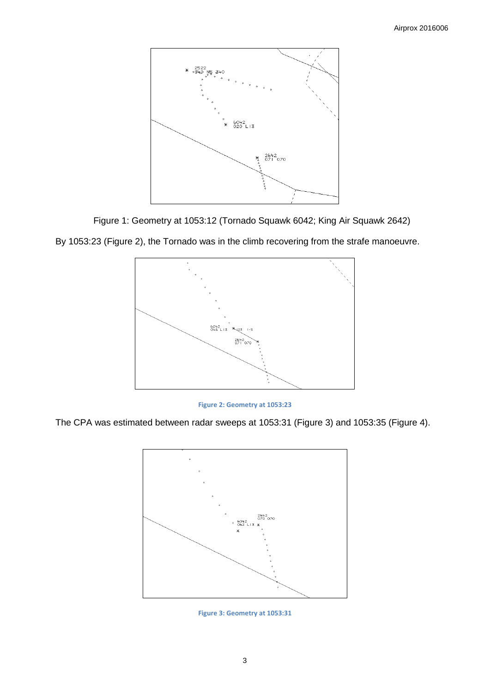

Figure 1: Geometry at 1053:12 (Tornado Squawk 6042; King Air Squawk 2642)



By 1053:23 (Figure 2), the Tornado was in the climb recovering from the strafe manoeuvre.



The CPA was estimated between radar sweeps at 1053:31 (Figure 3) and 1053:35 (Figure 4).



**Figure 3: Geometry at 1053:31**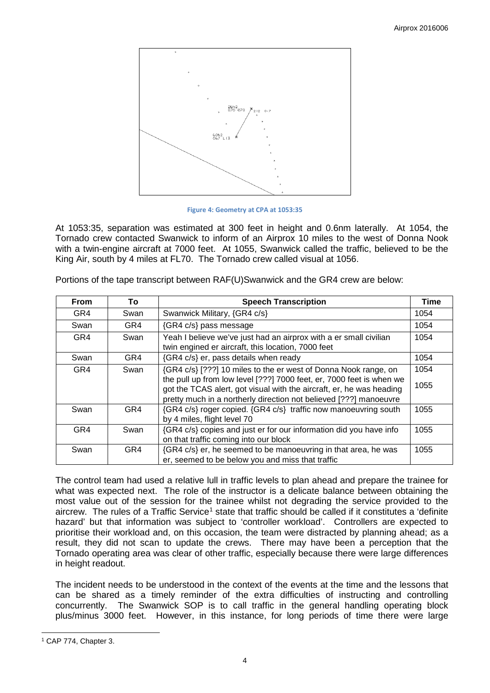

**Figure 4: Geometry at CPA at 1053:35**

At 1053:35, separation was estimated at 300 feet in height and 0.6nm laterally. At 1054, the Tornado crew contacted Swanwick to inform of an Airprox 10 miles to the west of Donna Nook with a twin-engine aircraft at 7000 feet. At 1055, Swanwick called the traffic, believed to be the King Air, south by 4 miles at FL70. The Tornado crew called visual at 1056.

| <b>From</b> | To   | <b>Speech Transcription</b>                                                                                                                                                                                       | <b>Time</b> |
|-------------|------|-------------------------------------------------------------------------------------------------------------------------------------------------------------------------------------------------------------------|-------------|
| GR4         | Swan | Swanwick Military, {GR4 c/s}                                                                                                                                                                                      | 1054        |
| Swan        | GR4  | {GR4 c/s} pass message                                                                                                                                                                                            | 1054        |
| GR4         | Swan | Yeah I believe we've just had an airprox with a er small civilian<br>twin engined er aircraft, this location, 7000 feet                                                                                           | 1054        |
| Swan        | GR4  | {GR4 c/s} er, pass details when ready                                                                                                                                                                             | 1054        |
| GR4         | Swan | {GR4 c/s} [???] 10 miles to the er west of Donna Nook range, on                                                                                                                                                   | 1054        |
|             |      | the pull up from low level [???] 7000 feet, er, 7000 feet is when we<br>got the TCAS alert, got visual with the aircraft, er, he was heading<br>pretty much in a northerly direction not believed [???] manoeuvre | 1055        |
| Swan        | GR4  | {GR4 c/s} roger copied. {GR4 c/s} traffic now manoeuvring south<br>by 4 miles, flight level 70                                                                                                                    | 1055        |
| GR4         | Swan | {GR4 c/s} copies and just er for our information did you have info<br>on that traffic coming into our block                                                                                                       | 1055        |
| Swan        | GR4  | {GR4 c/s} er, he seemed to be manoeuvring in that area, he was<br>er, seemed to be below you and miss that traffic                                                                                                | 1055        |

Portions of the tape transcript between RAF(U)Swanwick and the GR4 crew are below:

The control team had used a relative lull in traffic levels to plan ahead and prepare the trainee for what was expected next. The role of the instructor is a delicate balance between obtaining the most value out of the session for the trainee whilst not degrading the service provided to the aircrew. The rules of a Traffic Service<sup>[1](#page-3-0)</sup> state that traffic should be called if it constitutes a 'definite hazard' but that information was subject to 'controller workload'. Controllers are expected to prioritise their workload and, on this occasion, the team were distracted by planning ahead; as a result, they did not scan to update the crews. There may have been a perception that the Tornado operating area was clear of other traffic, especially because there were large differences in height readout.

The incident needs to be understood in the context of the events at the time and the lessons that can be shared as a timely reminder of the extra difficulties of instructing and controlling concurrently. The Swanwick SOP is to call traffic in the general handling operating block plus/minus 3000 feet. However, in this instance, for long periods of time there were large

 $\overline{\phantom{a}}$ 

<span id="page-3-0"></span><sup>1</sup> CAP 774, Chapter 3.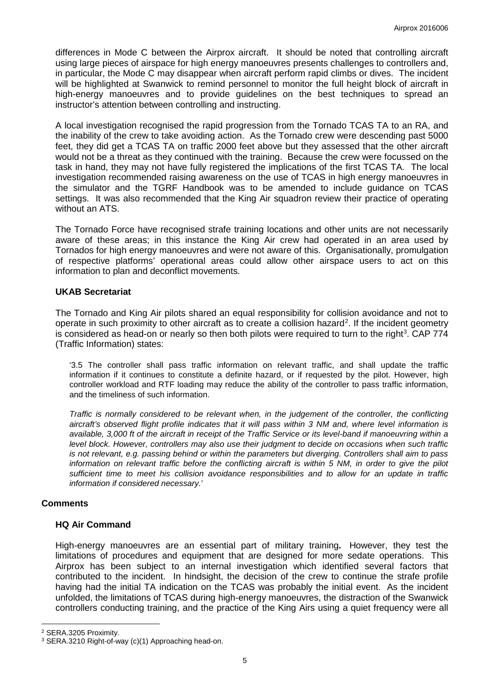differences in Mode C between the Airprox aircraft. It should be noted that controlling aircraft using large pieces of airspace for high energy manoeuvres presents challenges to controllers and, in particular, the Mode C may disappear when aircraft perform rapid climbs or dives. The incident will be highlighted at Swanwick to remind personnel to monitor the full height block of aircraft in high-energy manoeuvres and to provide guidelines on the best techniques to spread an instructor's attention between controlling and instructing.

A local investigation recognised the rapid progression from the Tornado TCAS TA to an RA, and the inability of the crew to take avoiding action. As the Tornado crew were descending past 5000 feet, they did get a TCAS TA on traffic 2000 feet above but they assessed that the other aircraft would not be a threat as they continued with the training. Because the crew were focussed on the task in hand, they may not have fully registered the implications of the first TCAS TA. The local investigation recommended raising awareness on the use of TCAS in high energy manoeuvres in the simulator and the TGRF Handbook was to be amended to include guidance on TCAS settings. It was also recommended that the King Air squadron review their practice of operating without an ATS.

The Tornado Force have recognised strafe training locations and other units are not necessarily aware of these areas; in this instance the King Air crew had operated in an area used by Tornados for high energy manoeuvres and were not aware of this. Organisationally, promulgation of respective platforms' operational areas could allow other airspace users to act on this information to plan and deconflict movements.

### **UKAB Secretariat**

The Tornado and King Air pilots shared an equal responsibility for collision avoidance and not to operate in such proximity to other aircraft as to create a collision hazard<sup>[2](#page-4-0)</sup>. If the incident geometry is considered as head-on or nearly so then both pilots were required to turn to the right<sup>[3](#page-4-1)</sup>. CAP 774 (Traffic Information) states:

'3.5 The controller shall pass traffic information on relevant traffic, and shall update the traffic information if it continues to constitute a definite hazard, or if requested by the pilot. However, high controller workload and RTF loading may reduce the ability of the controller to pass traffic information, and the timeliness of such information.

*Traffic is normally considered to be relevant when, in the judgement of the controller, the conflicting aircraft's observed flight profile indicates that it will pass within 3 NM and, where level information is available, 3,000 ft of the aircraft in receipt of the Traffic Service or its level-band if manoeuvring within a level block. However, controllers may also use their judgment to decide on occasions when such traffic is not relevant, e.g. passing behind or within the parameters but diverging. Controllers shall aim to pass information on relevant traffic before the conflicting aircraft is within 5 NM, in order to give the pilot sufficient time to meet his collision avoidance responsibilities and to allow for an update in traffic information if considered necessary.*'

# **Comments**

#### **HQ Air Command**

High-energy manoeuvres are an essential part of military training*.* However, they test the limitations of procedures and equipment that are designed for more sedate operations. This Airprox has been subject to an internal investigation which identified several factors that contributed to the incident. In hindsight, the decision of the crew to continue the strafe profile having had the initial TA indication on the TCAS was probably the initial event. As the incident unfolded, the limitations of TCAS during high-energy manoeuvres, the distraction of the Swanwick controllers conducting training, and the practice of the King Airs using a quiet frequency were all

l

<span id="page-4-0"></span><sup>2</sup> SERA.3205 Proximity.

<span id="page-4-1"></span><sup>3</sup> SERA.3210 Right-of-way (c)(1) Approaching head-on.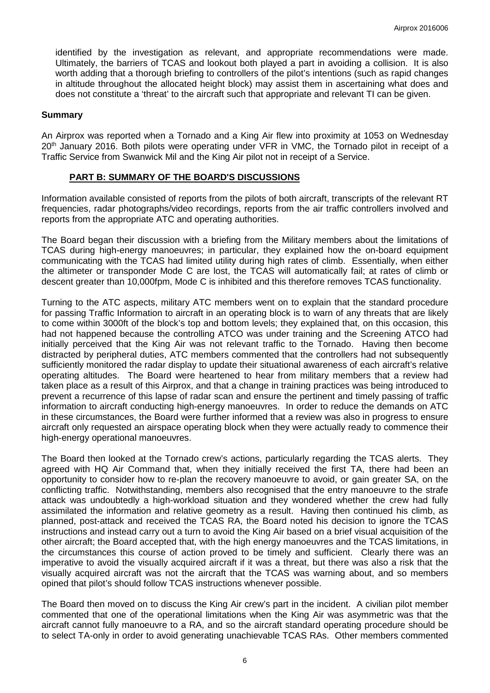identified by the investigation as relevant, and appropriate recommendations were made. Ultimately, the barriers of TCAS and lookout both played a part in avoiding a collision. It is also worth adding that a thorough briefing to controllers of the pilot's intentions (such as rapid changes in altitude throughout the allocated height block) may assist them in ascertaining what does and does not constitute a 'threat' to the aircraft such that appropriate and relevant TI can be given.

#### **Summary**

An Airprox was reported when a Tornado and a King Air flew into proximity at 1053 on Wednesday 20<sup>th</sup> January 2016. Both pilots were operating under VFR in VMC, the Tornado pilot in receipt of a Traffic Service from Swanwick Mil and the King Air pilot not in receipt of a Service.

#### **PART B: SUMMARY OF THE BOARD'S DISCUSSIONS**

Information available consisted of reports from the pilots of both aircraft, transcripts of the relevant RT frequencies, radar photographs/video recordings, reports from the air traffic controllers involved and reports from the appropriate ATC and operating authorities.

The Board began their discussion with a briefing from the Military members about the limitations of TCAS during high-energy manoeuvres; in particular, they explained how the on-board equipment communicating with the TCAS had limited utility during high rates of climb. Essentially, when either the altimeter or transponder Mode C are lost, the TCAS will automatically fail; at rates of climb or descent greater than 10,000fpm, Mode C is inhibited and this therefore removes TCAS functionality.

Turning to the ATC aspects, military ATC members went on to explain that the standard procedure for passing Traffic Information to aircraft in an operating block is to warn of any threats that are likely to come within 3000ft of the block's top and bottom levels; they explained that, on this occasion, this had not happened because the controlling ATCO was under training and the Screening ATCO had initially perceived that the King Air was not relevant traffic to the Tornado. Having then become distracted by peripheral duties, ATC members commented that the controllers had not subsequently sufficiently monitored the radar display to update their situational awareness of each aircraft's relative operating altitudes. The Board were heartened to hear from military members that a review had taken place as a result of this Airprox, and that a change in training practices was being introduced to prevent a recurrence of this lapse of radar scan and ensure the pertinent and timely passing of traffic information to aircraft conducting high-energy manoeuvres. In order to reduce the demands on ATC in these circumstances, the Board were further informed that a review was also in progress to ensure aircraft only requested an airspace operating block when they were actually ready to commence their high-energy operational manoeuvres.

The Board then looked at the Tornado crew's actions, particularly regarding the TCAS alerts. They agreed with HQ Air Command that, when they initially received the first TA, there had been an opportunity to consider how to re-plan the recovery manoeuvre to avoid, or gain greater SA, on the conflicting traffic. Notwithstanding, members also recognised that the entry manoeuvre to the strafe attack was undoubtedly a high-workload situation and they wondered whether the crew had fully assimilated the information and relative geometry as a result. Having then continued his climb, as planned, post-attack and received the TCAS RA, the Board noted his decision to ignore the TCAS instructions and instead carry out a turn to avoid the King Air based on a brief visual acquisition of the other aircraft; the Board accepted that, with the high energy manoeuvres and the TCAS limitations, in the circumstances this course of action proved to be timely and sufficient. Clearly there was an imperative to avoid the visually acquired aircraft if it was a threat, but there was also a risk that the visually acquired aircraft was not the aircraft that the TCAS was warning about, and so members opined that pilot's should follow TCAS instructions whenever possible.

The Board then moved on to discuss the King Air crew's part in the incident. A civilian pilot member commented that one of the operational limitations when the King Air was asymmetric was that the aircraft cannot fully manoeuvre to a RA, and so the aircraft standard operating procedure should be to select TA-only in order to avoid generating unachievable TCAS RAs. Other members commented